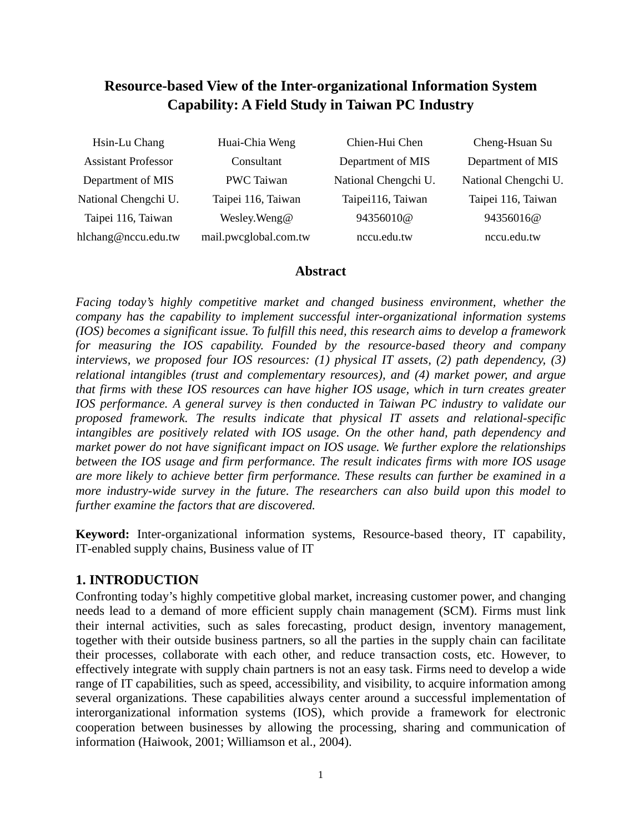# **Resource-based View of the Inter-organizational Information System Capability: A Field Study in Taiwan PC Industry**

| Hsin-Lu Chang              | Huai-Chia Weng        | Chien-Hui Chen       | Cheng-Hsuan Su       |
|----------------------------|-----------------------|----------------------|----------------------|
| <b>Assistant Professor</b> | Consultant            | Department of MIS    | Department of MIS    |
| Department of MIS          | PWC Taiwan            | National Chengchi U. | National Chengchi U. |
| National Chengchi U.       | Taipei 116, Taiwan    | Taipei116, Taiwan    | Taipei 116, Taiwan   |
| Taipei 116, Taiwan         | Wesley. Weng@         | 94356010@            | 94356016@            |
| hlchang@nccu.edu.tw        | mail.pwcglobal.com.tw | nccu.edu.tw          | nccu.edu.tw          |

### **Abstract**

*Facing today's highly competitive market and changed business environment, whether the company has the capability to implement successful inter-organizational information systems (IOS) becomes a significant issue. To fulfill this need, this research aims to develop a framework for measuring the IOS capability. Founded by the resource-based theory and company interviews, we proposed four IOS resources: (1) physical IT assets, (2) path dependency, (3) relational intangibles (trust and complementary resources), and (4) market power, and argue that firms with these IOS resources can have higher IOS usage, which in turn creates greater IOS performance. A general survey is then conducted in Taiwan PC industry to validate our proposed framework. The results indicate that physical IT assets and relational-specific intangibles are positively related with IOS usage. On the other hand, path dependency and market power do not have significant impact on IOS usage. We further explore the relationships between the IOS usage and firm performance. The result indicates firms with more IOS usage are more likely to achieve better firm performance. These results can further be examined in a more industry-wide survey in the future. The researchers can also build upon this model to further examine the factors that are discovered.* 

**Keyword:** Inter-organizational information systems, Resource-based theory, IT capability, IT-enabled supply chains, Business value of IT

## **1. INTRODUCTION**

Confronting today's highly competitive global market, increasing customer power, and changing needs lead to a demand of more efficient supply chain management (SCM). Firms must link their internal activities, such as sales forecasting, product design, inventory management, together with their outside business partners, so all the parties in the supply chain can facilitate their processes, collaborate with each other, and reduce transaction costs, etc. However, to effectively integrate with supply chain partners is not an easy task. Firms need to develop a wide range of IT capabilities, such as speed, accessibility, and visibility, to acquire information among several organizations. These capabilities always center around a successful implementation of interorganizational information systems (IOS), which provide a framework for electronic cooperation between businesses by allowing the processing, sharing and communication of information (Haiwook, 2001; Williamson et al., 2004).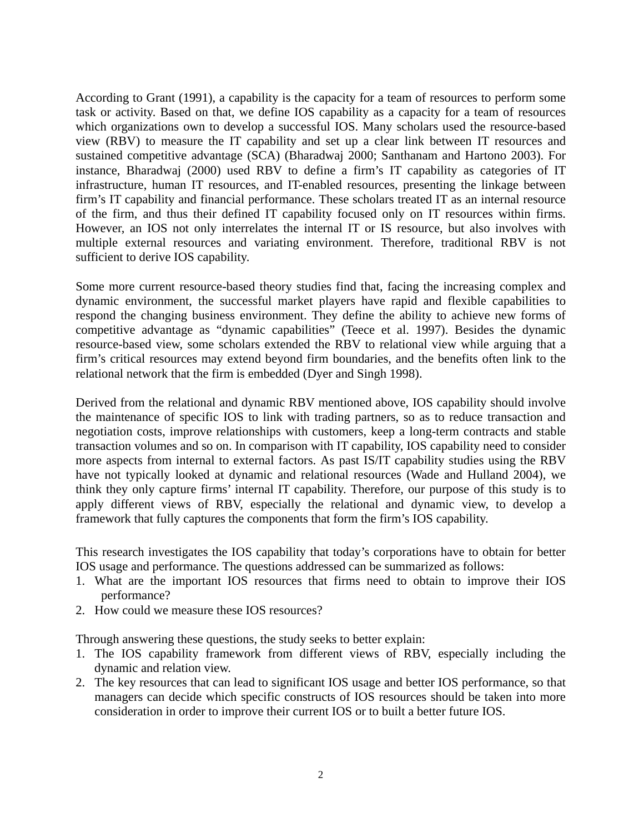According to Grant (1991), a capability is the capacity for a team of resources to perform some task or activity. Based on that, we define IOS capability as a capacity for a team of resources which organizations own to develop a successful IOS. Many scholars used the resource-based view (RBV) to measure the IT capability and set up a clear link between IT resources and sustained competitive advantage (SCA) (Bharadwaj 2000; Santhanam and Hartono 2003). For instance, Bharadwaj (2000) used RBV to define a firm's IT capability as categories of IT infrastructure, human IT resources, and IT-enabled resources, presenting the linkage between firm's IT capability and financial performance. These scholars treated IT as an internal resource of the firm, and thus their defined IT capability focused only on IT resources within firms. However, an IOS not only interrelates the internal IT or IS resource, but also involves with multiple external resources and variating environment. Therefore, traditional RBV is not sufficient to derive IOS capability.

Some more current resource-based theory studies find that, facing the increasing complex and dynamic environment, the successful market players have rapid and flexible capabilities to respond the changing business environment. They define the ability to achieve new forms of competitive advantage as "dynamic capabilities" (Teece et al. 1997). Besides the dynamic resource-based view, some scholars extended the RBV to relational view while arguing that a firm's critical resources may extend beyond firm boundaries, and the benefits often link to the relational network that the firm is embedded (Dyer and Singh 1998).

Derived from the relational and dynamic RBV mentioned above, IOS capability should involve the maintenance of specific IOS to link with trading partners, so as to reduce transaction and negotiation costs, improve relationships with customers, keep a long-term contracts and stable transaction volumes and so on. In comparison with IT capability, IOS capability need to consider more aspects from internal to external factors. As past IS/IT capability studies using the RBV have not typically looked at dynamic and relational resources (Wade and Hulland 2004), we think they only capture firms' internal IT capability. Therefore, our purpose of this study is to apply different views of RBV, especially the relational and dynamic view, to develop a framework that fully captures the components that form the firm's IOS capability.

This research investigates the IOS capability that today's corporations have to obtain for better IOS usage and performance. The questions addressed can be summarized as follows:

- 1. What are the important IOS resources that firms need to obtain to improve their IOS performance?
- 2. How could we measure these IOS resources?

Through answering these questions, the study seeks to better explain:

- 1. The IOS capability framework from different views of RBV, especially including the dynamic and relation view.
- 2. The key resources that can lead to significant IOS usage and better IOS performance, so that managers can decide which specific constructs of IOS resources should be taken into more consideration in order to improve their current IOS or to built a better future IOS.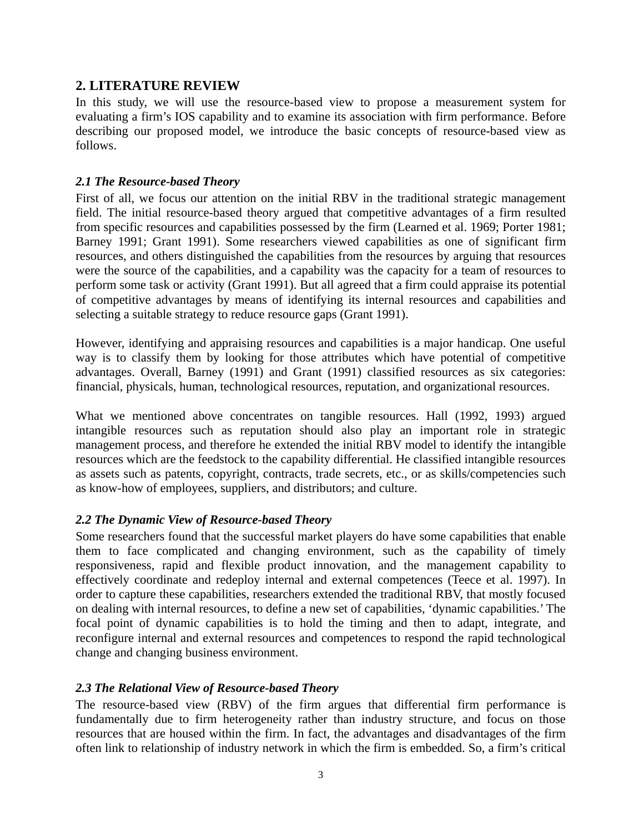## **2. LITERATURE REVIEW**

In this study, we will use the resource-based view to propose a measurement system for evaluating a firm's IOS capability and to examine its association with firm performance. Before describing our proposed model, we introduce the basic concepts of resource-based view as follows.

#### *2.1 The Resource-based Theory*

First of all, we focus our attention on the initial RBV in the traditional strategic management field. The initial resource-based theory argued that competitive advantages of a firm resulted from specific resources and capabilities possessed by the firm (Learned et al. 1969; Porter 1981; Barney 1991; Grant 1991). Some researchers viewed capabilities as one of significant firm resources, and others distinguished the capabilities from the resources by arguing that resources were the source of the capabilities, and a capability was the capacity for a team of resources to perform some task or activity (Grant 1991). But all agreed that a firm could appraise its potential of competitive advantages by means of identifying its internal resources and capabilities and selecting a suitable strategy to reduce resource gaps (Grant 1991).

However, identifying and appraising resources and capabilities is a major handicap. One useful way is to classify them by looking for those attributes which have potential of competitive advantages. Overall, Barney (1991) and Grant (1991) classified resources as six categories: financial, physicals, human, technological resources, reputation, and organizational resources.

What we mentioned above concentrates on tangible resources. Hall (1992, 1993) argued intangible resources such as reputation should also play an important role in strategic management process, and therefore he extended the initial RBV model to identify the intangible resources which are the feedstock to the capability differential. He classified intangible resources as assets such as patents, copyright, contracts, trade secrets, etc., or as skills/competencies such as know-how of employees, suppliers, and distributors; and culture.

### *2.2 The Dynamic View of Resource-based Theory*

Some researchers found that the successful market players do have some capabilities that enable them to face complicated and changing environment, such as the capability of timely responsiveness, rapid and flexible product innovation, and the management capability to effectively coordinate and redeploy internal and external competences (Teece et al. 1997). In order to capture these capabilities, researchers extended the traditional RBV, that mostly focused on dealing with internal resources, to define a new set of capabilities, 'dynamic capabilities.' The focal point of dynamic capabilities is to hold the timing and then to adapt, integrate, and reconfigure internal and external resources and competences to respond the rapid technological change and changing business environment.

### *2.3 The Relational View of Resource-based Theory*

The resource-based view (RBV) of the firm argues that differential firm performance is fundamentally due to firm heterogeneity rather than industry structure, and focus on those resources that are housed within the firm. In fact, the advantages and disadvantages of the firm often link to relationship of industry network in which the firm is embedded. So, a firm's critical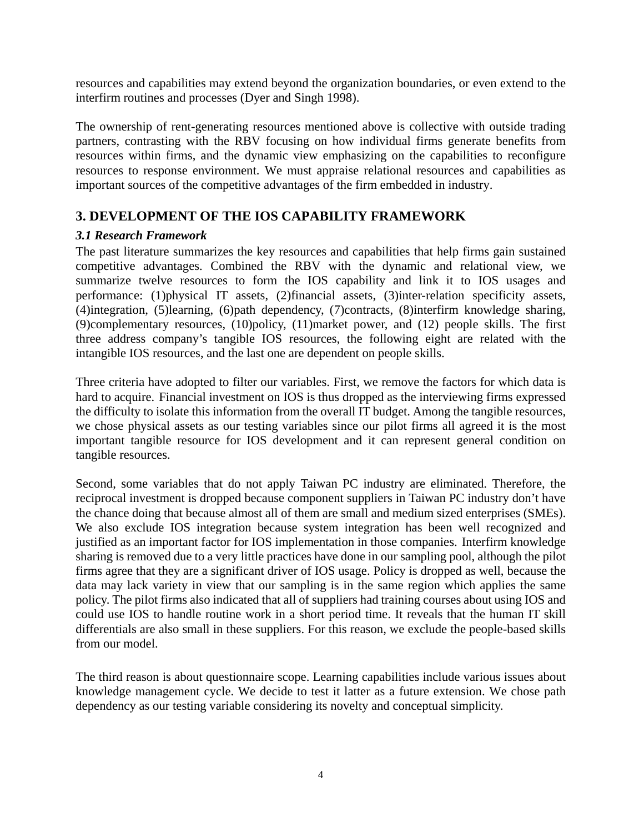resources and capabilities may extend beyond the organization boundaries, or even extend to the interfirm routines and processes (Dyer and Singh 1998).

The ownership of rent-generating resources mentioned above is collective with outside trading partners, contrasting with the RBV focusing on how individual firms generate benefits from resources within firms, and the dynamic view emphasizing on the capabilities to reconfigure resources to response environment. We must appraise relational resources and capabilities as important sources of the competitive advantages of the firm embedded in industry.

## **3. DEVELOPMENT OF THE IOS CAPABILITY FRAMEWORK**

### *3.1 Research Framework*

The past literature summarizes the key resources and capabilities that help firms gain sustained competitive advantages. Combined the RBV with the dynamic and relational view, we summarize twelve resources to form the IOS capability and link it to IOS usages and performance: (1)physical IT assets, (2)financial assets, (3)inter-relation specificity assets, (4)integration, (5)learning, (6)path dependency, (7)contracts, (8)interfirm knowledge sharing, (9)complementary resources, (10)policy, (11)market power, and (12) people skills. The first three address company's tangible IOS resources, the following eight are related with the intangible IOS resources, and the last one are dependent on people skills.

Three criteria have adopted to filter our variables. First, we remove the factors for which data is hard to acquire. Financial investment on IOS is thus dropped as the interviewing firms expressed the difficulty to isolate this information from the overall IT budget. Among the tangible resources, we chose physical assets as our testing variables since our pilot firms all agreed it is the most important tangible resource for IOS development and it can represent general condition on tangible resources.

Second, some variables that do not apply Taiwan PC industry are eliminated. Therefore, the reciprocal investment is dropped because component suppliers in Taiwan PC industry don't have the chance doing that because almost all of them are small and medium sized enterprises (SMEs). We also exclude IOS integration because system integration has been well recognized and justified as an important factor for IOS implementation in those companies. Interfirm knowledge sharing is removed due to a very little practices have done in our sampling pool, although the pilot firms agree that they are a significant driver of IOS usage. Policy is dropped as well, because the data may lack variety in view that our sampling is in the same region which applies the same policy. The pilot firms also indicated that all of suppliers had training courses about using IOS and could use IOS to handle routine work in a short period time. It reveals that the human IT skill differentials are also small in these suppliers. For this reason, we exclude the people-based skills from our model.

The third reason is about questionnaire scope. Learning capabilities include various issues about knowledge management cycle. We decide to test it latter as a future extension. We chose path dependency as our testing variable considering its novelty and conceptual simplicity.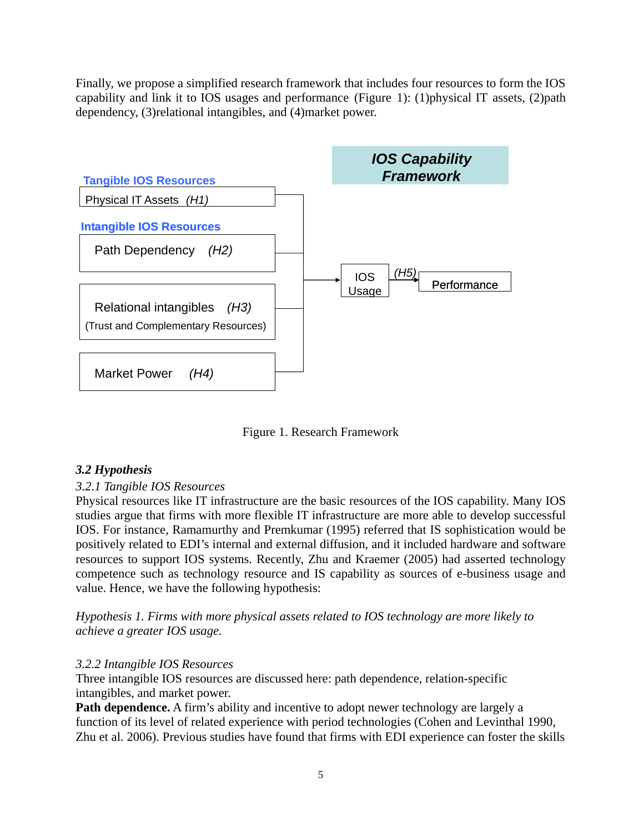Finally, we propose a simplified research framework that includes four resources to form the IOS capability and link it to IOS usages and performance (Figure 1): (1)physical IT assets, (2)path dependency, (3)relational intangibles, and (4)market power.



Figure 1. Research Framework

## *3.2 Hypothesis*

## *3.2.1 Tangible IOS Resources*

Physical resources like IT infrastructure are the basic resources of the IOS capability. Many IOS studies argue that firms with more flexible IT infrastructure are more able to develop successful IOS. For instance, Ramamurthy and Premkumar (1995) referred that IS sophistication would be positively related to EDI's internal and external diffusion, and it included hardware and software resources to support IOS systems. Recently, Zhu and Kraemer (2005) had asserted technology competence such as technology resource and IS capability as sources of e-business usage and value. Hence, we have the following hypothesis:

*Hypothesis 1. Firms with more physical assets related to IOS technology are more likely to achieve a greater IOS usage.* 

### *3.2.2 Intangible IOS Resources*

Three intangible IOS resources are discussed here: path dependence, relation-specific intangibles, and market power.

Path dependence. A firm's ability and incentive to adopt newer technology are largely a function of its level of related experience with period technologies (Cohen and Levinthal 1990, Zhu et al. 2006). Previous studies have found that firms with EDI experience can foster the skills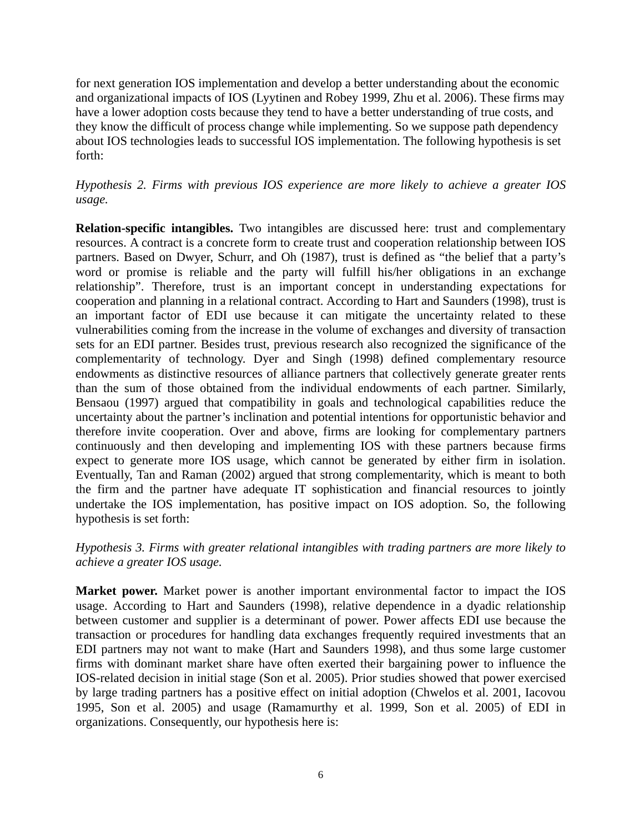for next generation IOS implementation and develop a better understanding about the economic and organizational impacts of IOS (Lyytinen and Robey 1999, Zhu et al. 2006). These firms may have a lower adoption costs because they tend to have a better understanding of true costs, and they know the difficult of process change while implementing. So we suppose path dependency about IOS technologies leads to successful IOS implementation. The following hypothesis is set forth:

## *Hypothesis 2. Firms with previous IOS experience are more likely to achieve a greater IOS usage.*

**Relation-specific intangibles.** Two intangibles are discussed here: trust and complementary resources. A contract is a concrete form to create trust and cooperation relationship between IOS partners. Based on Dwyer, Schurr, and Oh (1987), trust is defined as "the belief that a party's word or promise is reliable and the party will fulfill his/her obligations in an exchange relationship". Therefore, trust is an important concept in understanding expectations for cooperation and planning in a relational contract. According to Hart and Saunders (1998), trust is an important factor of EDI use because it can mitigate the uncertainty related to these vulnerabilities coming from the increase in the volume of exchanges and diversity of transaction sets for an EDI partner. Besides trust, previous research also recognized the significance of the complementarity of technology. Dyer and Singh (1998) defined complementary resource endowments as distinctive resources of alliance partners that collectively generate greater rents than the sum of those obtained from the individual endowments of each partner. Similarly, Bensaou (1997) argued that compatibility in goals and technological capabilities reduce the uncertainty about the partner's inclination and potential intentions for opportunistic behavior and therefore invite cooperation. Over and above, firms are looking for complementary partners continuously and then developing and implementing IOS with these partners because firms expect to generate more IOS usage, which cannot be generated by either firm in isolation. Eventually, Tan and Raman (2002) argued that strong complementarity, which is meant to both the firm and the partner have adequate IT sophistication and financial resources to jointly undertake the IOS implementation, has positive impact on IOS adoption. So, the following hypothesis is set forth:

*Hypothesis 3. Firms with greater relational intangibles with trading partners are more likely to achieve a greater IOS usage.* 

**Market power.** Market power is another important environmental factor to impact the IOS usage. According to Hart and Saunders (1998), relative dependence in a dyadic relationship between customer and supplier is a determinant of power. Power affects EDI use because the transaction or procedures for handling data exchanges frequently required investments that an EDI partners may not want to make (Hart and Saunders 1998), and thus some large customer firms with dominant market share have often exerted their bargaining power to influence the IOS-related decision in initial stage (Son et al. 2005). Prior studies showed that power exercised by large trading partners has a positive effect on initial adoption (Chwelos et al. 2001, Iacovou 1995, Son et al. 2005) and usage (Ramamurthy et al. 1999, Son et al. 2005) of EDI in organizations. Consequently, our hypothesis here is: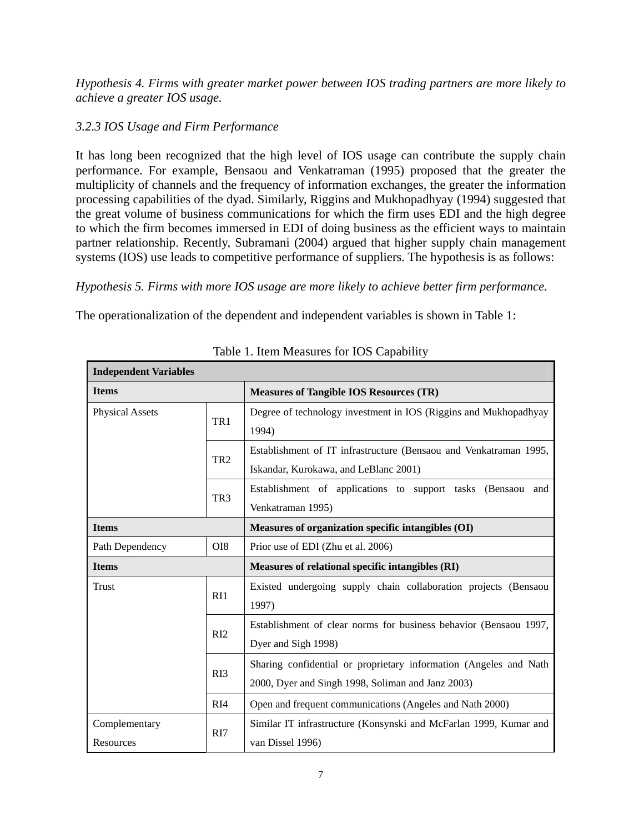*Hypothesis 4. Firms with greater market power between IOS trading partners are more likely to achieve a greater IOS usage.* 

## *3.2.3 IOS Usage and Firm Performance*

It has long been recognized that the high level of IOS usage can contribute the supply chain performance. For example, Bensaou and Venkatraman (1995) proposed that the greater the multiplicity of channels and the frequency of information exchanges, the greater the information processing capabilities of the dyad. Similarly, Riggins and Mukhopadhyay (1994) suggested that the great volume of business communications for which the firm uses EDI and the high degree to which the firm becomes immersed in EDI of doing business as the efficient ways to maintain partner relationship. Recently, Subramani (2004) argued that higher supply chain management systems (IOS) use leads to competitive performance of suppliers. The hypothesis is as follows:

## *Hypothesis 5. Firms with more IOS usage are more likely to achieve better firm performance.*

The operationalization of the dependent and independent variables is shown in Table 1:

| <b>Independent Variables</b> |                                                                                                          |                                                                                                                        |  |  |  |
|------------------------------|----------------------------------------------------------------------------------------------------------|------------------------------------------------------------------------------------------------------------------------|--|--|--|
| <b>Items</b>                 |                                                                                                          | <b>Measures of Tangible IOS Resources (TR)</b>                                                                         |  |  |  |
| <b>Physical Assets</b>       | TR1                                                                                                      | Degree of technology investment in IOS (Riggins and Mukhopadhyay<br>1994)                                              |  |  |  |
|                              | TR <sub>2</sub>                                                                                          | Establishment of IT infrastructure (Bensaou and Venkatraman 1995,<br>Iskandar, Kurokawa, and LeBlanc 2001)             |  |  |  |
|                              | TR <sub>3</sub>                                                                                          | Establishment of applications to support tasks (Bensaou and<br>Venkatraman 1995)                                       |  |  |  |
| <b>Items</b>                 |                                                                                                          | Measures of organization specific intangibles (OI)                                                                     |  |  |  |
| Path Dependency              | OI <sub>8</sub>                                                                                          | Prior use of EDI (Zhu et al. 2006)                                                                                     |  |  |  |
| <b>Items</b>                 |                                                                                                          | Measures of relational specific intangibles (RI)                                                                       |  |  |  |
| Trust<br>RI1                 |                                                                                                          | Existed undergoing supply chain collaboration projects (Bensaou<br>1997)                                               |  |  |  |
|                              | RI2                                                                                                      | Establishment of clear norms for business behavior (Bensaou 1997,<br>Dyer and Sigh 1998)                               |  |  |  |
|                              | RI3                                                                                                      | Sharing confidential or proprietary information (Angeles and Nath<br>2000, Dyer and Singh 1998, Soliman and Janz 2003) |  |  |  |
|                              | RI4                                                                                                      | Open and frequent communications (Angeles and Nath 2000)                                                               |  |  |  |
| Complementary<br>Resources   | Similar IT infrastructure (Konsynski and McFarlan 1999, Kumar and<br>R <sub>I7</sub><br>van Dissel 1996) |                                                                                                                        |  |  |  |

Table 1. Item Measures for IOS Capability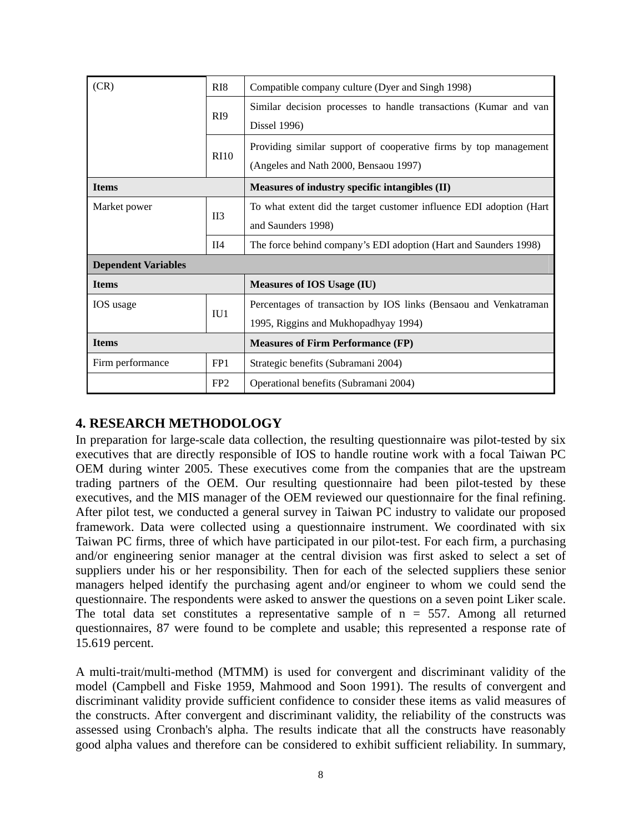| (CR)                       | R <sub>I</sub> 8 | Compatible company culture (Dyer and Singh 1998)                    |  |  |  |
|----------------------------|------------------|---------------------------------------------------------------------|--|--|--|
|                            | R <sub>19</sub>  | Similar decision processes to handle transactions (Kumar and van    |  |  |  |
|                            |                  | Dissel 1996)                                                        |  |  |  |
|                            | R <sub>10</sub>  | Providing similar support of cooperative firms by top management    |  |  |  |
|                            |                  | (Angeles and Nath 2000, Bensaou 1997)                               |  |  |  |
| <b>Items</b>               |                  | Measures of industry specific intangibles (II)                      |  |  |  |
| Market power               | II3              | To what extent did the target customer influence EDI adoption (Hart |  |  |  |
|                            |                  | and Saunders 1998)                                                  |  |  |  |
|                            | II4              | The force behind company's EDI adoption (Hart and Saunders 1998)    |  |  |  |
| <b>Dependent Variables</b> |                  |                                                                     |  |  |  |
| <b>Items</b>               |                  | <b>Measures of IOS Usage (IU)</b>                                   |  |  |  |
| IOS usage                  | IU1              | Percentages of transaction by IOS links (Bensaou and Venkatraman    |  |  |  |
|                            |                  | 1995, Riggins and Mukhopadhyay 1994)                                |  |  |  |
| <b>Items</b>               |                  | <b>Measures of Firm Performance (FP)</b>                            |  |  |  |
| Firm performance           | FP <sub>1</sub>  | Strategic benefits (Subramani 2004)                                 |  |  |  |
|                            | FP <sub>2</sub>  | Operational benefits (Subramani 2004)                               |  |  |  |

## **4. RESEARCH METHODOLOGY**

In preparation for large-scale data collection, the resulting questionnaire was pilot-tested by six executives that are directly responsible of IOS to handle routine work with a focal Taiwan PC OEM during winter 2005. These executives come from the companies that are the upstream trading partners of the OEM. Our resulting questionnaire had been pilot-tested by these executives, and the MIS manager of the OEM reviewed our questionnaire for the final refining. After pilot test, we conducted a general survey in Taiwan PC industry to validate our proposed framework. Data were collected using a questionnaire instrument. We coordinated with six Taiwan PC firms, three of which have participated in our pilot-test. For each firm, a purchasing and/or engineering senior manager at the central division was first asked to select a set of suppliers under his or her responsibility. Then for each of the selected suppliers these senior managers helped identify the purchasing agent and/or engineer to whom we could send the questionnaire. The respondents were asked to answer the questions on a seven point Liker scale. The total data set constitutes a representative sample of  $n = 557$ . Among all returned questionnaires, 87 were found to be complete and usable; this represented a response rate of 15.619 percent.

A multi-trait/multi-method (MTMM) is used for convergent and discriminant validity of the model (Campbell and Fiske 1959, Mahmood and Soon 1991). The results of convergent and discriminant validity provide sufficient confidence to consider these items as valid measures of the constructs. After convergent and discriminant validity, the reliability of the constructs was assessed using Cronbach's alpha. The results indicate that all the constructs have reasonably good alpha values and therefore can be considered to exhibit sufficient reliability. In summary,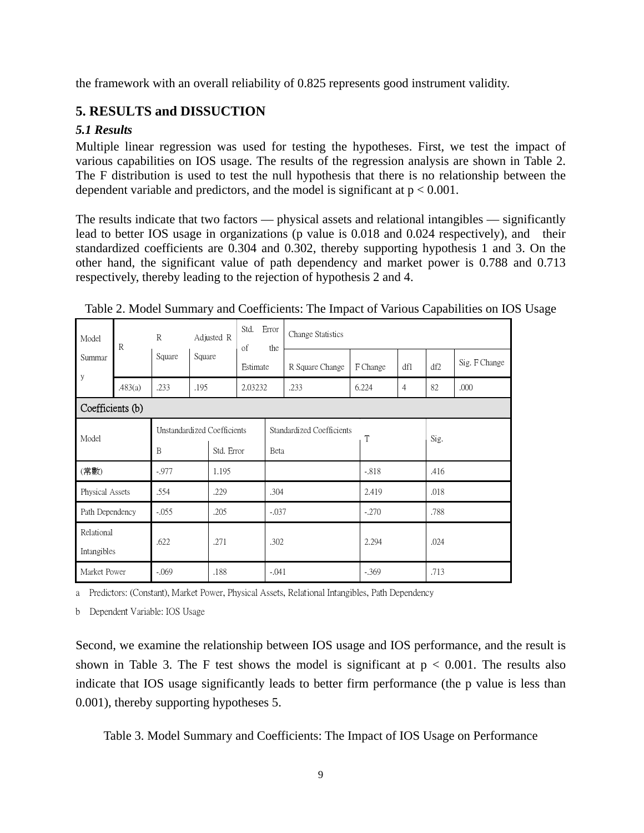the framework with an overall reliability of 0.825 represents good instrument validity.

## **5. RESULTS and DISSUCTION**

## *5.1 Results*

Multiple linear regression was used for testing the hypotheses. First, we test the impact of various capabilities on IOS usage. The results of the regression analysis are shown in Table 2. The F distribution is used to test the null hypothesis that there is no relationship between the dependent variable and predictors, and the model is significant at  $p < 0.001$ .

The results indicate that two factors — physical assets and relational intangibles — significantly lead to better IOS usage in organizations (p value is 0.018 and 0.024 respectively), and their standardized coefficients are 0.304 and 0.302, thereby supporting hypothesis 1 and 3. On the other hand, the significant value of path dependency and market power is 0.788 and 0.713 respectively, thereby leading to the rejection of hypothesis 2 and 4.

| Model                           | $\mathbb{R}$     | $\mathbb{R}$                | Adjusted R<br>Square |      | Std.<br>Error<br>of<br>the<br>Estimate |                           | Change Statistics |         |                         |      |      |               |
|---------------------------------|------------------|-----------------------------|----------------------|------|----------------------------------------|---------------------------|-------------------|---------|-------------------------|------|------|---------------|
| Summar<br>y                     |                  | Square                      |                      |      |                                        |                           | R Square Change   |         | F Change                | df1  | df2  | Sig. F Change |
|                                 | .483(a)          | .233                        | .195                 |      | 2.03232                                |                           | .233              |         | 6.224<br>$\overline{4}$ |      | 82   | .000          |
|                                 | Coefficients (b) |                             |                      |      |                                        |                           |                   |         |                         |      |      |               |
|                                 |                  | Unstandardized Coefficients |                      |      |                                        | Standardized Coefficients |                   |         | T                       |      | Sig. |               |
| Model                           |                  | B<br>Std. Error             |                      | Beta |                                        |                           |                   |         |                         |      |      |               |
| (常數)<br>$-0.977$                |                  | 1.195                       |                      |      |                                        |                           | $-.818$           |         | .416                    |      |      |               |
| Physical Assets<br>.554         |                  |                             | .229                 |      |                                        | .304                      |                   | 2.419   |                         | .018 |      |               |
| $-.055$<br>Path Dependency      |                  |                             | .205                 |      | $-.037$                                |                           |                   | $-.270$ |                         | .788 |      |               |
| Relational<br>Intangibles       |                  | .622                        |                      | .271 |                                        |                           | .302              |         | 2.294                   |      | .024 |               |
| .188<br>Market Power<br>$-.069$ |                  |                             | $-.041$              |      |                                        | $-.369$                   |                   | .713    |                         |      |      |               |

Table 2. Model Summary and Coefficients: The Impact of Various Capabilities on IOS Usage

a Predictors: (Constant), Market Power, Physical Assets, Relational Intangibles, Path Dependency

b Dependent Variable: IOS Usage

Second, we examine the relationship between IOS usage and IOS performance, and the result is shown in Table 3. The F test shows the model is significant at  $p < 0.001$ . The results also indicate that IOS usage significantly leads to better firm performance (the p value is less than 0.001), thereby supporting hypotheses 5.

Table 3. Model Summary and Coefficients: The Impact of IOS Usage on Performance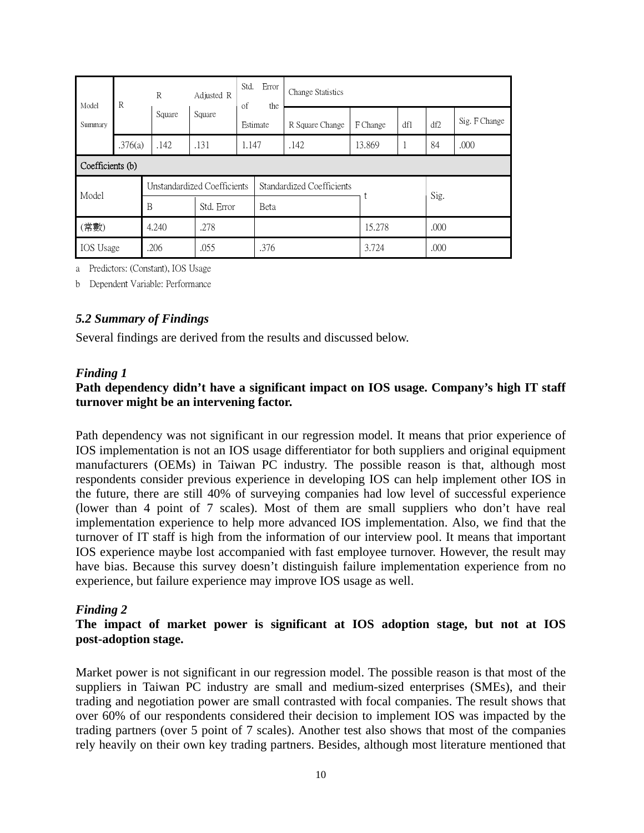| R<br>Model<br>Summary |               | R                           | Adjusted R<br>Square |            | Std.<br>Error<br>of<br>the<br>Estimate | Change Statistics         |          |       |      |               |  |
|-----------------------|---------------|-----------------------------|----------------------|------------|----------------------------------------|---------------------------|----------|-------|------|---------------|--|
|                       |               | Square                      |                      |            |                                        | R Square Change           | F Change | df1   | df2  | Sig. F Change |  |
|                       | .376(a)       | .142                        | .131                 | 1.147      |                                        | .142                      | 13.869   | 1     | 84   | .000          |  |
| Coefficients (b)      |               |                             |                      |            |                                        |                           |          |       |      |               |  |
| Model                 |               | Unstandardized Coefficients |                      |            |                                        | Standardized Coefficients |          |       |      | Sig.          |  |
|                       |               | B                           |                      | Std. Error |                                        | Beta                      |          |       |      |               |  |
| (常數)                  | .278<br>4.240 |                             |                      |            |                                        |                           | 15.278   |       | .000 |               |  |
| IOS Usage             |               | .206                        | .055                 |            |                                        | .376                      |          | 3.724 |      | .000          |  |

a Predictors: (Constant), IOS Usage

b Dependent Variable: Performance

### *5.2 Summary of Findings*

Several findings are derived from the results and discussed below.

#### *Finding 1*

### **Path dependency didn't have a significant impact on IOS usage. Company's high IT staff turnover might be an intervening factor.**

Path dependency was not significant in our regression model. It means that prior experience of IOS implementation is not an IOS usage differentiator for both suppliers and original equipment manufacturers (OEMs) in Taiwan PC industry. The possible reason is that, although most respondents consider previous experience in developing IOS can help implement other IOS in the future, there are still 40% of surveying companies had low level of successful experience (lower than 4 point of 7 scales). Most of them are small suppliers who don't have real implementation experience to help more advanced IOS implementation. Also, we find that the turnover of IT staff is high from the information of our interview pool. It means that important IOS experience maybe lost accompanied with fast employee turnover. However, the result may have bias. Because this survey doesn't distinguish failure implementation experience from no experience, but failure experience may improve IOS usage as well.

#### *Finding 2*

### **The impact of market power is significant at IOS adoption stage, but not at IOS post-adoption stage.**

Market power is not significant in our regression model. The possible reason is that most of the suppliers in Taiwan PC industry are small and medium-sized enterprises (SMEs), and their trading and negotiation power are small contrasted with focal companies. The result shows that over 60% of our respondents considered their decision to implement IOS was impacted by the trading partners (over 5 point of 7 scales). Another test also shows that most of the companies rely heavily on their own key trading partners. Besides, although most literature mentioned that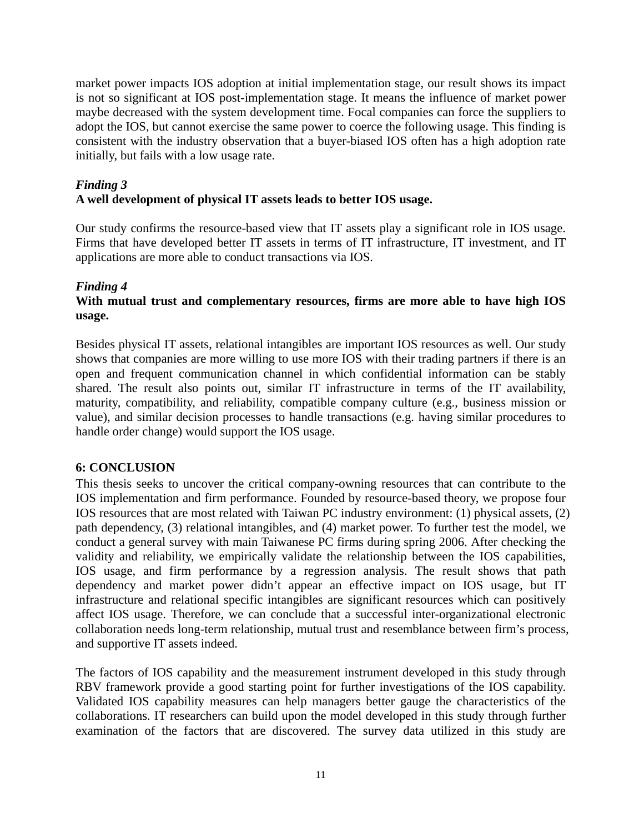market power impacts IOS adoption at initial implementation stage, our result shows its impact is not so significant at IOS post-implementation stage. It means the influence of market power maybe decreased with the system development time. Focal companies can force the suppliers to adopt the IOS, but cannot exercise the same power to coerce the following usage. This finding is consistent with the industry observation that a buyer-biased IOS often has a high adoption rate initially, but fails with a low usage rate.

#### *Finding 3*  **A well development of physical IT assets leads to better IOS usage.**

Our study confirms the resource-based view that IT assets play a significant role in IOS usage. Firms that have developed better IT assets in terms of IT infrastructure, IT investment, and IT applications are more able to conduct transactions via IOS.

## *Finding 4*

## **With mutual trust and complementary resources, firms are more able to have high IOS usage.**

Besides physical IT assets, relational intangibles are important IOS resources as well. Our study shows that companies are more willing to use more IOS with their trading partners if there is an open and frequent communication channel in which confidential information can be stably shared. The result also points out, similar IT infrastructure in terms of the IT availability, maturity, compatibility, and reliability, compatible company culture (e.g., business mission or value), and similar decision processes to handle transactions (e.g. having similar procedures to handle order change) would support the IOS usage.

## **6: CONCLUSION**

This thesis seeks to uncover the critical company-owning resources that can contribute to the IOS implementation and firm performance. Founded by resource-based theory, we propose four IOS resources that are most related with Taiwan PC industry environment: (1) physical assets, (2) path dependency, (3) relational intangibles, and (4) market power. To further test the model, we conduct a general survey with main Taiwanese PC firms during spring 2006. After checking the validity and reliability, we empirically validate the relationship between the IOS capabilities, IOS usage, and firm performance by a regression analysis. The result shows that path dependency and market power didn't appear an effective impact on IOS usage, but IT infrastructure and relational specific intangibles are significant resources which can positively affect IOS usage. Therefore, we can conclude that a successful inter-organizational electronic collaboration needs long-term relationship, mutual trust and resemblance between firm's process, and supportive IT assets indeed.

The factors of IOS capability and the measurement instrument developed in this study through RBV framework provide a good starting point for further investigations of the IOS capability. Validated IOS capability measures can help managers better gauge the characteristics of the collaborations. IT researchers can build upon the model developed in this study through further examination of the factors that are discovered. The survey data utilized in this study are